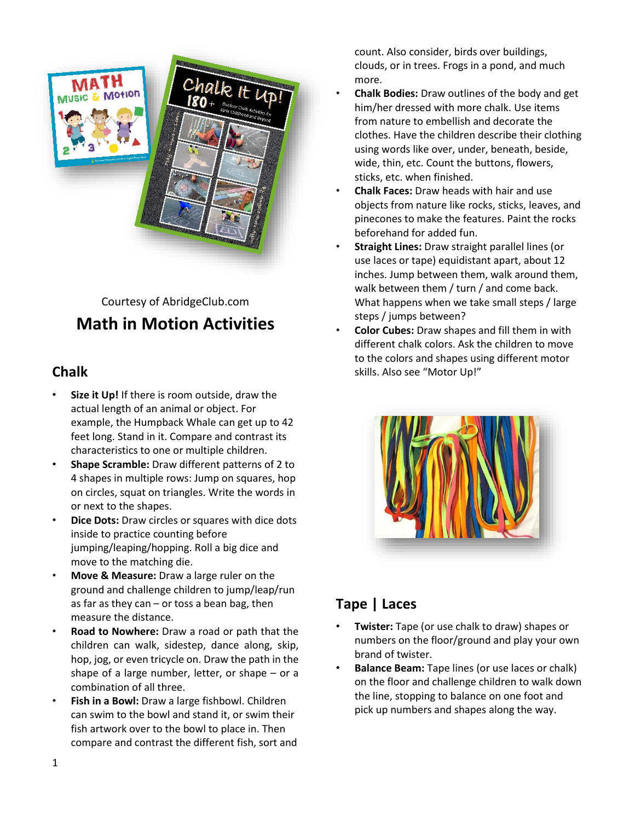

# Courtesy of AbridgeClub.com **Math in Motion Activities**

## **Chalk**

- **Size it Up!** If there is room outside, draw the actual length of an animal or object. For example, the Humpback Whale can get up to 42 feet long. Stand in it. Compare and contrast its characteristics to one or multiple children.
- **Shape Scramble:** Draw different patterns of 2 to 4 shapes in multiple rows: Jump on squares, hop on circles, squat on triangles. Write the words in or next to the shapes.
- **Dice Dots:** Draw circles or squares with dice dots inside to practice counting before jumping/leaping/hopping. Roll a big dice and move to the matching die.
- **Move & Measure:** Draw a large ruler on the ground and challenge children to jump/leap/run as far as they can  $-$  or toss a bean bag, then measure the distance.
- **Road to Nowhere:** Draw a road or path that the children can walk, sidestep, dance along, skip, hop, jog, or even tricycle on. Draw the path in the shape of a large number, letter, or shape – or a combination of all three.
- **Fish in a Bowl:** Draw a large fishbowl. Children can swim to the bowl and stand it, or swim their fish artwork over to the bowl to place in. Then compare and contrast the different fish, sort and

count. Also consider, birds over buildings, clouds, or in trees. Frogs in a pond, and much more.

- **Chalk Bodies:** Draw outlines of the body and get him/her dressed with more chalk. Use items from nature to embellish and decorate the clothes. Have the children describe their clothing using words like over, under, beneath, beside, wide, thin, etc. Count the buttons, flowers, sticks, etc. when finished.
- **Chalk Faces:** Draw heads with hair and use objects from nature like rocks, sticks, leaves, and pinecones to make the features. Paint the rocks beforehand for added fun.
- **Straight Lines:** Draw straight parallel lines (or use laces or tape) equidistant apart, about 12 inches. Jump between them, walk around them, walk between them / turn / and come back. What happens when we take small steps / large steps / jumps between?
- **Color Cubes:** Draw shapes and fill them in with different chalk colors. Ask the children to move to the colors and shapes using different motor skills. Also see "Motor Up!"



# **Tape | Laces**

- **Twister:** Tape (or use chalk to draw) shapes or numbers on the floor/ground and play your own brand of twister.
- **Balance Beam:** Tape lines (or use laces or chalk) on the floor and challenge children to walk down the line, stopping to balance on one foot and pick up numbers and shapes along the way.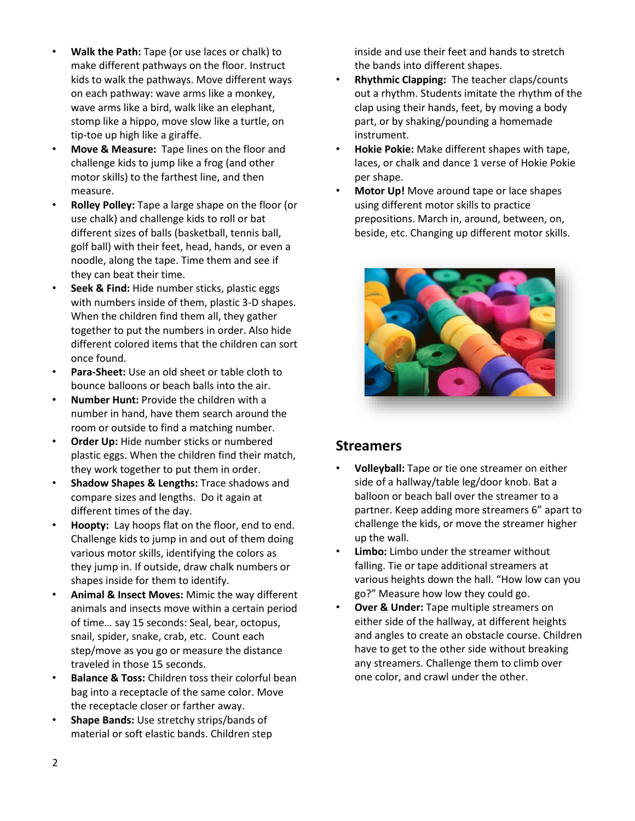- **Walk the Path:** Tape (or use laces or chalk) to make different pathways on the floor. Instruct kids to walk the pathways. Move different ways on each pathway: wave arms like a monkey, wave arms like a bird, walk like an elephant, stomp like a hippo, move slow like a turtle, on tip-toe up high like a giraffe.
- **Move & Measure:** Tape lines on the floor and challenge kids to jump like a frog (and other motor skills) to the farthest line, and then measure.
- **Rolley Polley:** Tape a large shape on the floor (or use chalk) and challenge kids to roll or bat different sizes of balls (basketball, tennis ball, golf ball) with their feet, head, hands, or even a noodle, along the tape. Time them and see if they can beat their time.
- **Seek & Find:** Hide number sticks, plastic eggs with numbers inside of them, plastic 3-D shapes. When the children find them all, they gather together to put the numbers in order. Also hide different colored items that the children can sort once found.
- **Para-Sheet:** Use an old sheet or table cloth to bounce balloons or beach balls into the air.
- **Number Hunt:** Provide the children with a number in hand, have them search around the room or outside to find a matching number.
- **Order Up:** Hide number sticks or numbered plastic eggs. When the children find their match, they work together to put them in order.
- **Shadow Shapes & Lengths:** Trace shadows and compare sizes and lengths. Do it again at different times of the day.
- **Hoopty:** Lay hoops flat on the floor, end to end. Challenge kids to jump in and out of them doing various motor skills, identifying the colors as they jump in. If outside, draw chalk numbers or shapes inside for them to identify.
- **Animal & Insect Moves:** Mimic the way different animals and insects move within a certain period of time… say 15 seconds: Seal, bear, octopus, snail, spider, snake, crab, etc. Count each step/move as you go or measure the distance traveled in those 15 seconds.
- **Balance & Toss:** Children toss their colorful bean bag into a receptacle of the same color. Move the receptacle closer or farther away.
- **Shape Bands:** Use stretchy strips/bands of material or soft elastic bands. Children step

inside and use their feet and hands to stretch the bands into different shapes.

- **Rhythmic Clapping:** The teacher claps/counts out a rhythm. Students imitate the rhythm of the clap using their hands, feet, by moving a body part, or by shaking/pounding a homemade instrument.
- **Hokie Pokie:** Make different shapes with tape, laces, or chalk and dance 1 verse of Hokie Pokie per shape.
- **Motor Up!** Move around tape or lace shapes using different motor skills to practice prepositions. March in, around, between, on, beside, etc. Changing up different motor skills.



### **Streamers**

- **Volleyball:** Tape or tie one streamer on either side of a hallway/table leg/door knob. Bat a balloon or beach ball over the streamer to a partner. Keep adding more streamers 6" apart to challenge the kids, or move the streamer higher up the wall.
- **Limbo:** Limbo under the streamer without falling. Tie or tape additional streamers at various heights down the hall. "How low can you go?" Measure how low they could go.
- **Over & Under:** Tape multiple streamers on either side of the hallway, at different heights and angles to create an obstacle course. Children have to get to the other side without breaking any streamers. Challenge them to climb over one color, and crawl under the other.